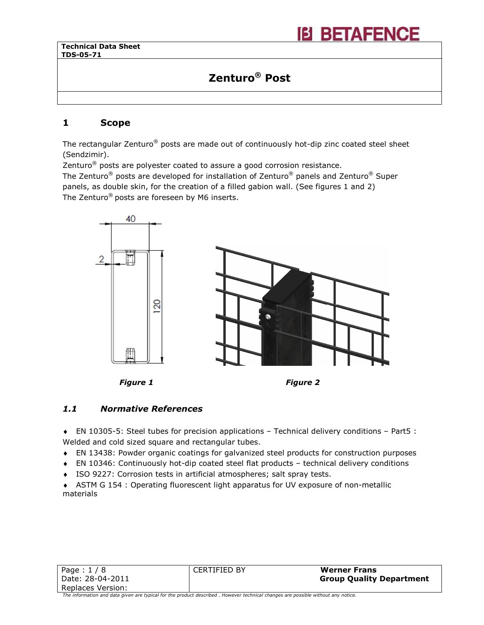# Zenturo® Post

### 1 Scope

Ι

The rectangular Zenturo® posts are made out of continuously hot-dip zinc coated steel sheet (Sendzimir).

Zenturo $^\circledR$  posts are polyester coated to assure a good corrosion resistance.

The Zenturo® posts are developed for installation of Zenturo® panels and Zenturo® Super panels, as double skin, for the creation of a filled gabion wall. (See figures 1 and 2) The Zenturo<sup>®</sup> posts are foreseen by M6 inserts.



Figure 1 Figure 2

### 1.1 Normative References

♦ EN 10305-5: Steel tubes for precision applications – Technical delivery conditions – Part5 : Welded and cold sized square and rectangular tubes.

- ♦ EN 13438: Powder organic coatings for galvanized steel products for construction purposes
- ♦ EN 10346: Continuously hot-dip coated steel flat products technical delivery conditions
- ♦ ISO 9227: Corrosion tests in artificial atmospheres; salt spray tests.

♦ ASTM G 154 : Operating fluorescent light apparatus for UV exposure of non-metallic materials

| Page: $1/8$        | CERTIFIED BY | <b>Werner Frans</b>             |
|--------------------|--------------|---------------------------------|
| l Date: 28-04-2011 |              | <b>Group Quality Department</b> |
| Replaces Version:  |              |                                 |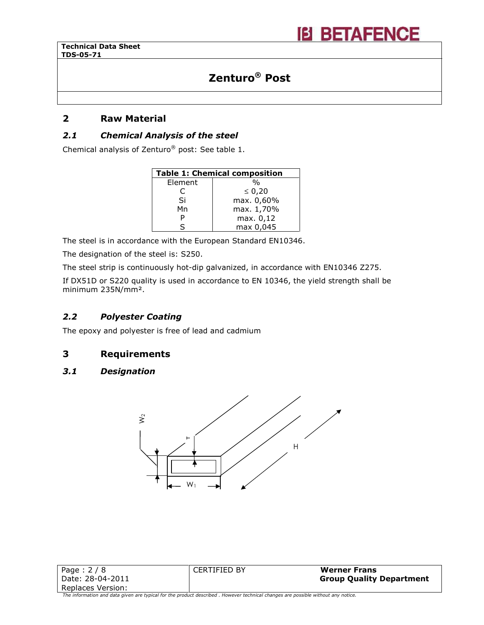Ι

# Zenturo® Post

### 2 Raw Material

### 2.1 Chemical Analysis of the steel

Chemical analysis of Zenturo® post: See table 1.

| <b>Table 1: Chemical composition</b> |               |  |
|--------------------------------------|---------------|--|
| Element                              | $\frac{0}{0}$ |  |
| C                                    | $\leq 0,20$   |  |
| Si                                   | max. 0,60%    |  |
| Mn                                   | max. 1,70%    |  |
| Р                                    | max. 0,12     |  |
| ς                                    | max 0,045     |  |

The steel is in accordance with the European Standard EN10346.

The designation of the steel is: S250.

The steel strip is continuously hot-dip galvanized, in accordance with EN10346 Z275.

If DX51D or S220 quality is used in accordance to EN 10346, the yield strength shall be minimum 235N/mm².

### 2.2 Polyester Coating

The epoxy and polyester is free of lead and cadmium

### 3 Requirements

### 3.1 Designation



| Page: $2/8$       | <b>CERTIFIED BY</b> | <b>Werner Frans</b>             |
|-------------------|---------------------|---------------------------------|
| Date: 28-04-2011  |                     | <b>Group Quality Department</b> |
| Replaces Version: |                     |                                 |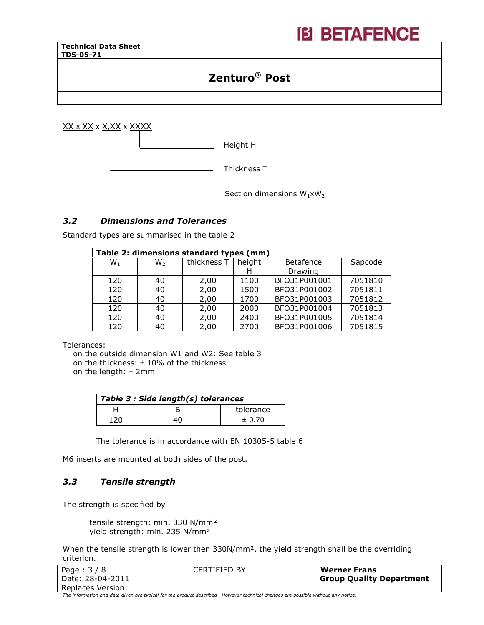Ι

# Zenturo® Post

**IB BETAFENCE** 

XX x XX x X,XX x XXXX Height H



### 3.2 Dimensions and Tolerances

Standard types are summarised in the table 2

| Table 2: dimensions standard types (mm) |    |             |        |                  |         |
|-----------------------------------------|----|-------------|--------|------------------|---------|
| $W_1$                                   | W, | thickness T | height | <b>Betafence</b> | Sapcode |
|                                         |    |             |        | Drawing          |         |
| 120                                     | 40 | 2,00        | 1100   | BFO31P001001     | 7051810 |
| 120                                     | 40 | 2,00        | 1500   | BFO31P001002     | 7051811 |
| 120                                     | 40 | 2,00        | 1700   | BFO31P001003     | 7051812 |
| 120                                     | 40 | 2,00        | 2000   | BFO31P001004     | 7051813 |
| 120                                     | 40 | 2,00        | 2400   | BFO31P001005     | 7051814 |
| 120                                     | 40 | 2,00        | 2700   | BFO31P001006     | 7051815 |

Tolerances:

on the outside dimension W1 and W2: See table 3 on the thickness:  $\pm$  10% of the thickness

on the length:  $±$  2mm

| Table 3 : Side length(s) tolerances |  |            |  |
|-------------------------------------|--|------------|--|
|                                     |  | tolerance  |  |
| 120                                 |  | $\pm 0.70$ |  |

The tolerance is in accordance with EN 10305-5 table 6

M6 inserts are mounted at both sides of the post.

### 3.3 Tensile strength

The strength is specified by

tensile strength: min. 330 N/mm² yield strength: min. 235 N/mm²

When the tensile strength is lower then 330N/mm<sup>2</sup>, the yield strength shall be the overriding criterion.

| Page: $3/8$       | CERTIFIED BY | <b>Werner Frans</b>             |
|-------------------|--------------|---------------------------------|
| Date: 28-04-2011  |              | <b>Group Quality Department</b> |
| Replaces Version: |              |                                 |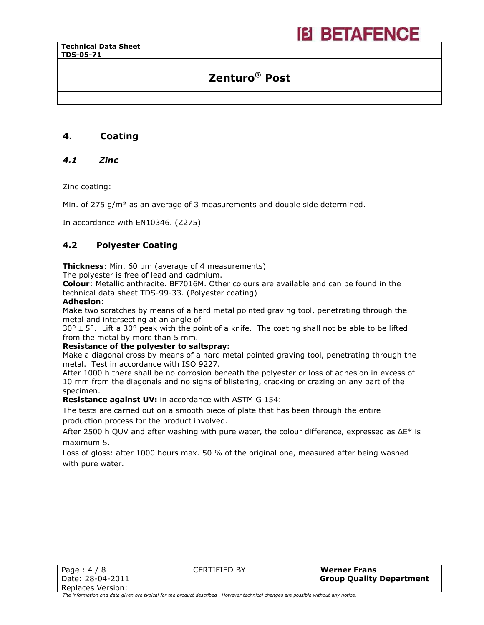# Zenturo® Post

**IEI BETAFENCE** 

### 4. Coating

### 4.1 Zinc

Ι

Zinc coating:

Min. of 275 g/m<sup>2</sup> as an average of 3 measurements and double side determined.

In accordance with EN10346. (Z275)

### 4.2 Polyester Coating

**Thickness:** Min. 60 µm (average of 4 measurements)

The polyester is free of lead and cadmium.

Colour: Metallic anthracite. BF7016M. Other colours are available and can be found in the technical data sheet TDS-99-33. (Polyester coating)

#### Adhesion:

Make two scratches by means of a hard metal pointed graving tool, penetrating through the metal and intersecting at an angle of

 $30^{\circ}$   $\pm$  5°. Lift a 30° peak with the point of a knife. The coating shall not be able to be lifted from the metal by more than 5 mm.

#### Resistance of the polyester to saltspray:

Make a diagonal cross by means of a hard metal pointed graving tool, penetrating through the metal. Test in accordance with ISO 9227.

After 1000 h there shall be no corrosion beneath the polyester or loss of adhesion in excess of 10 mm from the diagonals and no signs of blistering, cracking or crazing on any part of the specimen.

Resistance against UV: in accordance with ASTM G 154:

The tests are carried out on a smooth piece of plate that has been through the entire production process for the product involved.

After 2500 h QUV and after washing with pure water, the colour difference, expressed as  $\Delta E^*$  is maximum 5.

Loss of gloss: after 1000 hours max. 50 % of the original one, measured after being washed with pure water.

| Page: $4/8$       | CERTIFIED BY | <b>Werner Frans</b>             |
|-------------------|--------------|---------------------------------|
| Date: 28-04-2011  |              | <b>Group Quality Department</b> |
| Replaces Version: |              |                                 |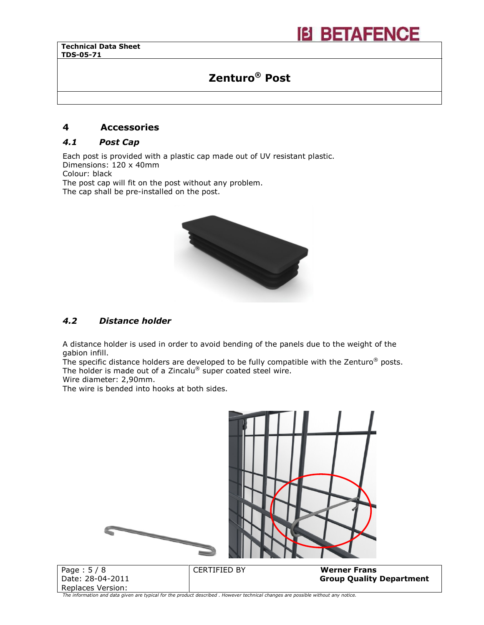# Zenturo® Post

### 4 Accessories

### 4.1 Post Cap

Each post is provided with a plastic cap made out of UV resistant plastic. Dimensions: 120 x 40mm Colour: black

Ι

The post cap will fit on the post without any problem. The cap shall be pre-installed on the post.



### 4.2 Distance holder

A distance holder is used in order to avoid bending of the panels due to the weight of the gabion infill.

The specific distance holders are developed to be fully compatible with the Zenturo<sup>®</sup> posts. The holder is made out of a Zincalu® super coated steel wire.

Wire diameter: 2,90mm.

The wire is bended into hooks at both sides.

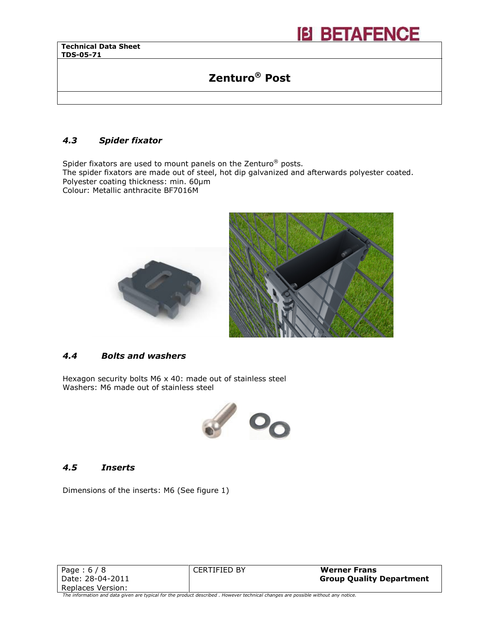Ι

## Zenturo® Post

**IB BETAFENCE** 

### 4.3 Spider fixator

Spider fixators are used to mount panels on the Zenturo® posts.

The spider fixators are made out of steel, hot dip galvanized and afterwards polyester coated. Polyester coating thickness: min. 60µm

Colour: Metallic anthracite BF7016M



### 4.4 Bolts and washers

Hexagon security bolts M6 x 40: made out of stainless steel Washers: M6 made out of stainless steel



#### 4.5 Inserts

Dimensions of the inserts: M6 (See figure 1)

| Page: $6/8$                                                                                                                      | <b>CERTIFIED BY</b> | <b>Werner Frans</b>             |
|----------------------------------------------------------------------------------------------------------------------------------|---------------------|---------------------------------|
| l Date: 28-04-2011                                                                                                               |                     | <b>Group Quality Department</b> |
| Replaces Version:                                                                                                                |                     |                                 |
| The information and data given are typical for the product described. However technical changes are possible without any notice. |                     |                                 |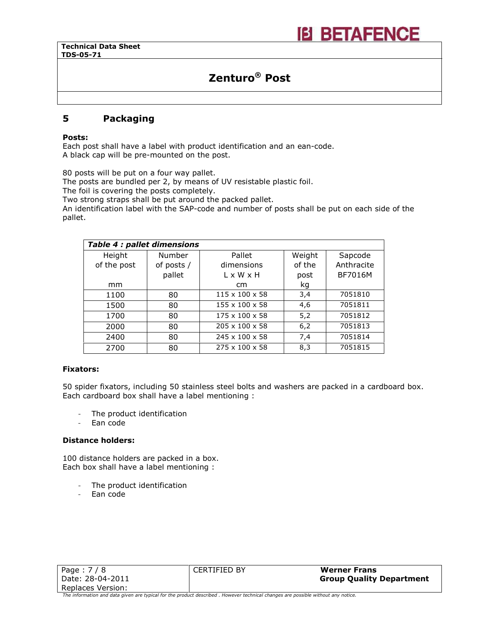# Zenturo® Post

**IEI BETAFENCE** 

### 5 Packaging

#### Posts:

Ι

Each post shall have a label with product identification and an ean-code. A black cap will be pre-mounted on the post.

80 posts will be put on a four way pallet.

The posts are bundled per 2, by means of UV resistable plastic foil.

The foil is covering the posts completely.

Two strong straps shall be put around the packed pallet.

An identification label with the SAP-code and number of posts shall be put on each side of the pallet.

| Table 4 : pallet dimensions |            |                            |        |                |
|-----------------------------|------------|----------------------------|--------|----------------|
| Height                      | Number     | Pallet                     | Weight | Sapcode        |
| of the post                 | of posts / | dimensions                 | of the | Anthracite     |
|                             | pallet     | $L \times W \times H$      | post   | <b>BF7016M</b> |
| mm                          |            | cm                         | kg     |                |
| 1100                        | 80         | $115 \times 100 \times 58$ | 3,4    | 7051810        |
| 1500                        | 80         | $155 \times 100 \times 58$ | 4,6    | 7051811        |
| 1700                        | 80         | $175 \times 100 \times 58$ | 5,2    | 7051812        |
| 2000                        | 80         | $205 \times 100 \times 58$ | 6,2    | 7051813        |
| 2400                        | 80         | $245 \times 100 \times 58$ | 7.4    | 7051814        |
| 2700                        | 80         | $275 \times 100 \times 58$ | 8.3    | 7051815        |

#### Fixators:

50 spider fixators, including 50 stainless steel bolts and washers are packed in a cardboard box. Each cardboard box shall have a label mentioning :

- The product identification
- Ean code

#### Distance holders:

100 distance holders are packed in a box. Each box shall have a label mentioning :

- The product identification
- Ean code